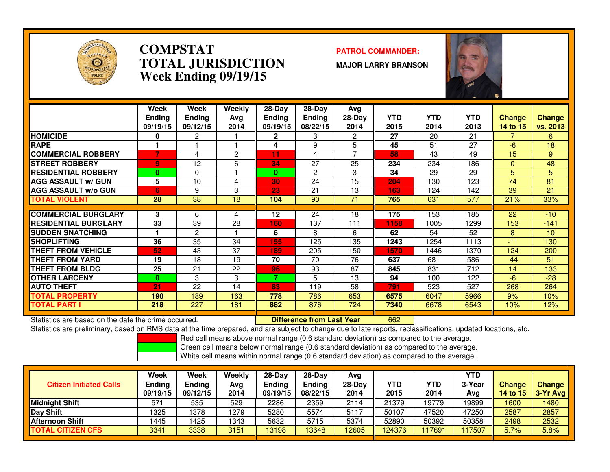

#### **COMPSTATPATROL COMMANDER:**<br> **PATROL COMMANDER: TOTAL JURISDICTIONWeek Ending 09/19/15**

**MAJOR LARRY BRANSON**



|                              | Week<br><b>Ending</b><br>09/19/15 | Week<br><b>Ending</b><br>09/12/15 | Weekly<br>Ava<br>2014 | $28-Day$<br><b>Endina</b><br>09/19/15 | $28-Day$<br><b>Ending</b><br>08/22/15 | Avg<br>28-Day<br>2014 | YTD<br>2015 | <b>YTD</b><br>2014 | <b>YTD</b><br>2013 | <b>Change</b><br><b>14 to 15</b> | <b>Change</b><br>vs. 2013 |
|------------------------------|-----------------------------------|-----------------------------------|-----------------------|---------------------------------------|---------------------------------------|-----------------------|-------------|--------------------|--------------------|----------------------------------|---------------------------|
| <b>HOMICIDE</b>              | 0                                 | 2                                 |                       | $\mathbf{2}$                          | 3                                     | 2                     | 27          | 20                 | 21                 | 7                                | 6                         |
| <b>RAPE</b>                  |                                   |                                   |                       | 4                                     | 9                                     | 5                     | 45          | 51                 | 27                 | $-6$                             | 18                        |
| <b>COMMERCIAL ROBBERY</b>    | 7                                 | 4                                 | 2                     | 11                                    | 4                                     | 7                     | 58          | 43                 | 49                 | 15                               | 9                         |
| <b>STREET ROBBERY</b>        | 9.                                | 12                                | 6                     | 34                                    | 27                                    | 25                    | 234         | 234                | 186                | $\Omega$                         | 48                        |
| <b>RESIDENTIAL ROBBERY</b>   | 0                                 | 0                                 |                       | $\bf{0}$                              | $\overline{2}$                        | 3                     | 34          | 29                 | 29                 | 5                                | 5                         |
| <b>AGG ASSAULT w/ GUN</b>    | 5                                 | 10                                | 4                     | 30                                    | 24                                    | 15                    | 204         | 130                | 123                | 74                               | 81                        |
| <b>AGG ASSAULT w/o GUN</b>   | 6                                 | 9                                 | 3                     | 23                                    | 21                                    | 13                    | 163         | 124                | 142                | 39                               | 21                        |
| <b>TOTAL VIOLENT</b>         | 28                                | 38                                | 18                    | 104                                   | 90                                    | 71                    | 765         | 631                | 577                | 21%                              | 33%                       |
|                              |                                   |                                   |                       |                                       |                                       |                       |             |                    |                    |                                  |                           |
| <b>COMMERCIAL BURGLARY</b>   | 3                                 | 6                                 | 4                     | 12                                    | 24                                    | 18                    | 175         | 153                | 185                | 22                               | $-10$                     |
| <b>IRESIDENTIAL BURGLARY</b> | 33                                | 39                                | 28                    | 160                                   | 137                                   | 111                   | 1158        | 1005               | 1299               | 153                              | $-141$                    |
| <b>SUDDEN SNATCHING</b>      |                                   | 2                                 |                       | 6                                     | 8                                     | 6                     | 62          | 54                 | 52                 | 8                                | 10                        |
| <b>ISHOPLIFTING</b>          | 36                                | 35                                | 34                    | 155                                   | 125                                   | 135                   | 1243        | 1254               | 1113               | $-11$                            | 130                       |
| <b>THEFT FROM VEHICLE</b>    | 52                                | 43                                | 37                    | 189                                   | 205                                   | 150                   | 1570        | 1446               | 1370               | 124                              | 200                       |
| <b>THEFT FROM YARD</b>       | 19                                | 18                                | 19                    | 70                                    | 70                                    | 76                    | 637         | 681                | 586                | $-44$                            | 51                        |
| <b>THEFT FROM BLDG</b>       | 25                                | 21                                | 22                    | 96                                    | 93                                    | 87                    | 845         | 831                | 712                | 14                               | 133                       |
| <b>OTHER LARCENY</b>         | 0                                 | 3                                 | 3                     | T                                     | 5                                     | 13                    | 94          | 100                | 122                | -6                               | $-28$                     |
| <b>AUTO THEFT</b>            | 21                                | 22                                | 14                    | 83                                    | 119                                   | 58                    | 791         | 523                | 527                | 268                              | 264                       |
| <b>TOTAL PROPERTY</b>        | 190                               | 189                               | 163                   | 778                                   | 786                                   | 653                   | 6575        | 6047               | 5966               | 9%                               | 10%                       |
| <b>TOTAL PART I</b>          | 218                               | 227                               | 181                   | 882                                   | 876                                   | 724                   | 7340        | 6678               | 6543               | 10%                              | 12%                       |

Statistics are based on the date the crime occurred. **Difference from Last Year** 

Statistics are based on the date the crime occurred. **[19] Letter Lubber 10 Letter are Statistics** are based on the date time occurred.<br>Statistics are preliminary, based on RMS data at the time prepared, and are subject to

Red cell means above normal range (0.6 standard deviation) as compared to the average.

Green cell means below normal range (0.6 standard deviation) as compared to the average.

| <b>Citizen Initiated Calls</b> | Week<br>Ending<br>09/19/15 | Week<br><b>Ending</b><br>09/12/15 | Weekly<br>Ava<br>2014 | $28-Dav$<br>Endina<br>09/19/15 | $28-Day$<br><b>Ending</b><br>08/22/15 | Avg<br>$28-Day$<br>2014 | YTD<br>2015 | <b>YTD</b><br>2014 | YTD<br>3-Year<br>Avg | <b>Change</b><br>14 to 15 | <b>Change</b><br>$3-Yr$ Avg |
|--------------------------------|----------------------------|-----------------------------------|-----------------------|--------------------------------|---------------------------------------|-------------------------|-------------|--------------------|----------------------|---------------------------|-----------------------------|
| Midnight Shift                 | 571                        | 535                               | 529                   | 2286                           | 2359                                  | 2114                    | 21379       | 19779              | 19899                | 1600                      | 1480                        |
| Day Shift                      | 1325                       | 1378                              | 1279                  | 5280                           | 5574                                  | 5117                    | 50107       | 47520              | 47250                | 2587                      | 2857                        |
| <b>IAfternoon Shift</b>        | 1445                       | 425ء                              | 1343                  | 5632                           | 5715                                  | 5374                    | 52890       | 50392              | 50358                | 2498                      | 2532                        |
| <b>TOTAL CITIZEN CFS</b>       | 3341                       | 3338                              | 3151                  | 13198                          | 3648                                  | 12605                   | 124376      | 17691              | 17507                | 5.7%                      | 5.8%                        |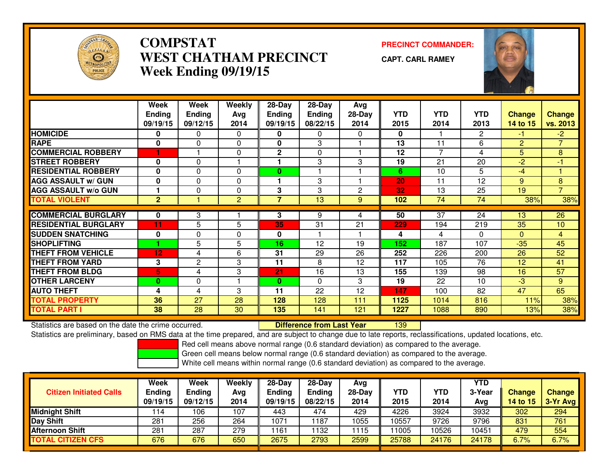

### **COMPSTAT PRECINCT COMMANDER: WEST CHATHAM PRECINCTWeek Ending 09/19/15**

**CAPT. CARL RAMEY**



|                             | Week<br><b>Ending</b><br>09/19/15 | Week<br><b>Ending</b><br>09/12/15 | Weekly<br><b>Avg</b><br>2014 | 28-Day<br><b>Ending</b><br>09/19/15 | 28-Day<br>Ending<br>08/22/15 | Avg<br>$28-Day$<br>2014 | <b>YTD</b><br>2015 | <b>YTD</b><br>2014 | <b>YTD</b><br>2013 | <b>Change</b><br>14 to 15 | <b>Change</b><br>vs. 2013 |
|-----------------------------|-----------------------------------|-----------------------------------|------------------------------|-------------------------------------|------------------------------|-------------------------|--------------------|--------------------|--------------------|---------------------------|---------------------------|
| <b>HOMICIDE</b>             | 0                                 | $\mathbf{0}$                      | $\mathbf{0}$                 | 0                                   | $\Omega$                     | 0                       | $\mathbf{0}$       |                    | $\mathbf{2}$       | -1.                       | $-2$                      |
| <b>RAPE</b>                 | $\bf{0}$                          | $\Omega$                          | $\Omega$                     | $\bf{0}$                            | 3                            |                         | 13                 | 11                 | 6                  | $\overline{2}$            | $\overline{7}$            |
| <b>COMMERCIAL ROBBERY</b>   |                                   |                                   | $\Omega$                     | $\mathbf{2}$                        | $\mathbf{0}$                 |                         | 12                 | 7                  | 4                  | 5                         | 8                         |
| <b>STREET ROBBERY</b>       | $\mathbf 0$                       | 0                                 |                              |                                     | 3                            | 3                       | 19                 | 21                 | 20                 | $-2$                      | $-1$                      |
| <b>RESIDENTIAL ROBBERY</b>  | $\bf{0}$                          | $\Omega$                          | $\Omega$                     | $\bf{0}$                            |                              |                         | 6                  | 10                 | 5                  | -4                        |                           |
| <b>AGG ASSAULT w/ GUN</b>   | $\mathbf 0$                       | $\mathbf 0$                       | $\Omega$                     |                                     | 3                            |                         | 20                 | 11                 | 12                 | 9                         | 8                         |
| <b>AGG ASSAULT w/o GUN</b>  |                                   | $\Omega$                          | $\Omega$                     | 3                                   | 3                            | 2                       | 32                 | 13                 | 25                 | 19                        | $\overline{7}$            |
| <b>TOTAL VIOLENT</b>        | $\overline{2}$                    |                                   | 2                            | $\overline{7}$                      | 13                           | 9                       | 102                | 74                 | 74                 | 38%                       | 38%                       |
| <b>COMMERCIAL BURGLARY</b>  | 0                                 | 3                                 |                              | 3                                   | 9                            | 4                       | 50                 | 37                 | 24                 | 13                        | 26                        |
| <b>RESIDENTIAL BURGLARY</b> | 11                                | 5                                 | 5                            | 35                                  | 31                           | 21                      | 229                | 194                | 219                | 35                        | 10                        |
| <b>ISUDDEN SNATCHING</b>    | 0                                 | 0                                 | $\Omega$                     | $\bf{0}$                            |                              |                         | 4                  | 4                  | $\Omega$           | $\Omega$                  | $\overline{4}$            |
| <b>SHOPLIFTING</b>          |                                   | 5                                 | 5                            | 16                                  | 12                           | 19                      | 152                | 187                | 107                | $-35$                     | 45                        |
| <b>THEFT FROM VEHICLE</b>   | 12                                | 4                                 | 6                            | 31                                  | 29                           | 26                      | 252                | 226                | 200                | 26                        | 52                        |
| <b>THEFT FROM YARD</b>      | 3                                 | $\mathbf{2}$                      | 3                            | 11                                  | 8                            | 12                      | 117                | 105                | 76                 | 12                        | 41                        |
| <b>THEFT FROM BLDG</b>      | 5.                                | 4                                 | 3                            | 21                                  | 16                           | 13                      | 155                | 139                | 98                 | 16                        | $\overline{57}$           |
| <b>OTHER LARCENY</b>        | $\bf{0}$                          | 0                                 |                              | $\bf{0}$                            | $\Omega$                     | 3                       | 19                 | 22                 | 10                 | -3                        | 9                         |
| <b>AUTO THEFT</b>           | 4                                 | 4                                 | 3                            | 11                                  | 22                           | 12                      | 147                | 100                | 82                 | 47                        | 65                        |
| <b>TOTAL PROPERTY</b>       | 36                                | 27                                | 28                           | 128                                 | 128                          | 111                     | 1125               | 1014               | 816                | 11%                       | 38%                       |
| <b>TOTAL PART I</b>         | 38                                | 28                                | 30                           | 135                                 | 141                          | 121                     | 1227               | 1088               | 890                | 13%                       | 38%                       |

Statistics are based on the date the crime occurred. **Difference from Last Year** 

<sup>139</sup>

Statistics are preliminary, based on RMS data at the time prepared, and are subject to change due to late reports, reclassifications, updated locations, etc.

Red cell means above normal range (0.6 standard deviation) as compared to the average.

Green cell means below normal range (0.6 standard deviation) as compared to the average.

| <b>Citizen Initiated Calls</b> | Week<br><b>Ending</b><br>09/19/15 | Week<br><b>Ending</b><br>09/12/15 | Weekly<br>Avg<br>2014 | 28-Day<br><b>Ending</b><br>09/19/15 | $28-Day$<br><b>Ending</b><br>08/22/15 | Avg<br>28-Dav<br>2014 | YTD<br>2015 | <b>YTD</b><br>2014 | YTD<br>3-Year<br>Avg | <b>Change</b><br>14 to 15 | <b>Change</b><br>3-Yr Avg |
|--------------------------------|-----------------------------------|-----------------------------------|-----------------------|-------------------------------------|---------------------------------------|-----------------------|-------------|--------------------|----------------------|---------------------------|---------------------------|
| <b>Midnight Shift</b>          | 114                               | 106                               | 107                   | 443                                 | 474                                   | 429                   | 4226        | 3924               | 3932                 | 302                       | 294                       |
| <b>Day Shift</b>               | 281                               | 256                               | 264                   | 1071                                | 187                                   | 1055                  | 10557       | 9726               | 9796                 | 831                       | 761                       |
| <b>Afternoon Shift</b>         | 281                               | 287                               | 279                   | 1161                                | 132                                   | 1115                  | 1005 ا      | 10526              | 10451                | 479                       | 554                       |
| <b>TOTAL CITIZEN CFS</b>       | 676                               | 676                               | 650                   | 2675                                | 2793                                  | 2599                  | 25788       | 24176              | 24178                | 6.7%                      | 6.7%                      |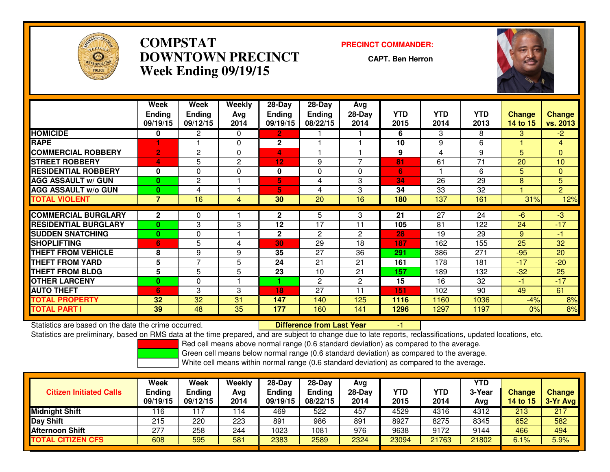

### **COMPSTAT PRECINCT COMMANDER: DOWNTOWN PRECINCTWeek Ending 09/19/15**

**CAPT. Ben Herron**



|                             | Week<br><b>Ending</b><br>09/19/15 | Week<br><b>Ending</b><br>09/12/15 | Weekly<br>Ava<br>2014 | 28-Day<br><b>Ending</b><br>09/19/15 | 28-Day<br><b>Ending</b><br>08/22/15 | Avg<br>$28-Day$<br>2014 | <b>YTD</b><br>2015 | <b>YTD</b><br>2014 | <b>YTD</b><br>2013 | <b>Change</b><br>14 to 15 | <b>Change</b><br>vs. 2013 |
|-----------------------------|-----------------------------------|-----------------------------------|-----------------------|-------------------------------------|-------------------------------------|-------------------------|--------------------|--------------------|--------------------|---------------------------|---------------------------|
| <b>HOMICIDE</b>             | 0                                 | 2                                 | $\Omega$              | $\overline{2}$                      |                                     |                         | 6                  | 3                  | 8                  | 3.                        | $-2$                      |
| <b>RAPE</b>                 |                                   |                                   | 0                     | $\mathbf{2}$                        |                                     |                         | 10                 | 9                  | 6                  |                           | 4                         |
| <b>COMMERCIAL ROBBERY</b>   | $\mathbf{2}$                      | 2                                 | $\Omega$              | 4                                   |                                     |                         | 9                  | 4                  | 9                  | 5                         | $\mathbf{0}$              |
| <b>STREET ROBBERY</b>       | 4                                 | 5                                 | $\overline{2}$        | 12                                  | 9                                   | $\overline{ }$          | 81                 | 61                 | $\overline{71}$    | 20                        | 10                        |
| <b>RESIDENTIAL ROBBERY</b>  | 0                                 | 0                                 | $\Omega$              | 0                                   | $\Omega$                            | $\Omega$                | 6                  |                    | 6                  | 5                         | $\Omega$                  |
| <b>AGG ASSAULT w/ GUN</b>   | $\mathbf{0}$                      | $\overline{c}$                    |                       | 5                                   | 4                                   | 3                       | 34                 | 26                 | 29                 | 8                         | 5                         |
| <b>AGG ASSAULT w/o GUN</b>  | 0                                 | 4                                 |                       | 5                                   | 4                                   | 3                       | 34                 | 33                 | 32                 |                           | $\overline{2}$            |
| <b>TOTAL VIOLENT</b>        | $\overline{7}$                    | 16                                | 4                     | 30                                  | 20                                  | 16                      | 180                | 137                | 161                | 31%                       | 12%                       |
|                             |                                   |                                   |                       |                                     |                                     |                         |                    |                    |                    |                           |                           |
| <b>COMMERCIAL BURGLARY</b>  | $\mathbf 2$                       | 0                                 |                       | $\mathbf{2}$                        | 5                                   | 3                       | 21                 | 27                 | 24                 | $-6$                      | $-3$                      |
| <b>RESIDENTIAL BURGLARY</b> | $\mathbf{0}$                      | 3                                 | 3                     | 12                                  | 17                                  | 11                      | 105                | 81                 | 122                | 24                        | $-17$                     |
| <b>SUDDEN SNATCHING</b>     | $\mathbf{0}$                      | $\Omega$                          |                       | $\mathbf{2}$                        | 2                                   | $\mathbf{2}$            | 28                 | 19                 | 29                 | 9                         | $-1$                      |
| <b>SHOPLIFTING</b>          | 6                                 | 5                                 | 4                     | 30                                  | 29                                  | 18                      | 187                | 162                | 155                | 25                        | 32                        |
| <b>THEFT FROM VEHICLE</b>   | 8                                 | 9                                 | 9                     | 35                                  | 27                                  | 36                      | 291                | 386                | 271                | $-95$                     | 20                        |
| <b>THEFT FROM YARD</b>      | 5                                 | $\overline{7}$                    | 5                     | 24                                  | 21                                  | 21                      | 161                | 178                | 181                | $-17$                     | $-20$                     |
| <b>THEFT FROM BLDG</b>      | 5                                 | 5                                 | 5                     | 23                                  | 10                                  | 21                      | 157                | 189                | 132                | $-32$                     | 25                        |
| <b>OTHER LARCENY</b>        | 0                                 | 0                                 |                       |                                     | $\mathbf{2}$                        | $\mathbf{2}$            | 15                 | 16                 | 32                 | -1                        | $-17$                     |
| <b>AUTO THEFT</b>           | 6                                 | 3                                 | 3                     | 18                                  | 27                                  | 11                      | 151                | 102                | 90                 | 49                        | 61                        |
| TOTAL PROPERTY              | 32                                | 32                                | 31                    | 147                                 | 140                                 | 125                     | 1116               | 1160               | 1036               | $-4%$                     | 8%                        |
| <b>TOTAL PART I</b>         | 39                                | 48                                | 35                    | 177                                 | 160                                 | 141                     | 1296               | 1297               | 1197               | 0%                        | 8%                        |

Statistics are based on the date the crime occurred. **Difference from Last Year** 

Statistics are based on the date the crime occurred.<br>Statistics are preliminary, based on RMS data at the time prepared, and are subject to change due to late reports, reclassifications, updated locations, etc.

Red cell means above normal range (0.6 standard deviation) as compared to the average.

Green cell means below normal range (0.6 standard deviation) as compared to the average.

| <b>Citizen Initiated Calls</b> | Week<br><b>Ending</b><br>09/19/15 | Week<br><b>Ending</b><br>09/12/15 | Weekly<br>Avg<br>2014 | 28-Day<br><b>Ending</b><br>09/19/15 | $28-Dav$<br>Ending<br>08/22/15 | Avg<br>28-Day<br>2014 | YTD<br>2015 | YTD<br>2014 | YTD<br>3-Year<br>Avg | <b>Change</b><br><b>14 to 15</b> | <b>Change</b><br>$3-Yr$ Avg |
|--------------------------------|-----------------------------------|-----------------------------------|-----------------------|-------------------------------------|--------------------------------|-----------------------|-------------|-------------|----------------------|----------------------------------|-----------------------------|
| <b>Midnight Shift</b>          | 116                               | 17                                | 114                   | 469                                 | 522                            | 457                   | 4529        | 4316        | 4312                 | 213                              | 217                         |
| Day Shift                      | 215                               | 220                               | 223                   | 891                                 | 986                            | 891                   | 8927        | 8275        | 8345                 | 652                              | 582                         |
| <b>Afternoon Shift</b>         | 277                               | 258                               | 244                   | 1023                                | 1081                           | 976                   | 9638        | 9172        | 9144                 | 466                              | 494                         |
| <b>TOTAL CITIZEN CFS</b>       | 608                               | 595                               | 581                   | 2383                                | 2589                           | 2324                  | 23094       | 21763       | 21802                | 6.1%                             | 5.9%                        |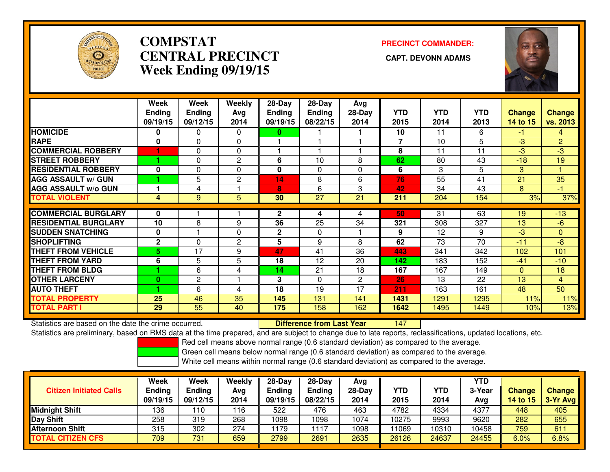

## **COMPSTATCENTRAL PRECINCT Week Ending 09/19/15**

# **PRECINCT COMMANDER:**



|                             | Week          | Week          | Weekly         | 28-Day        | 28-Day        | Avg      |                |            |            |               |                |
|-----------------------------|---------------|---------------|----------------|---------------|---------------|----------|----------------|------------|------------|---------------|----------------|
|                             | <b>Ending</b> | <b>Ending</b> | Avg            | <b>Ending</b> | <b>Ending</b> | $28-Day$ | <b>YTD</b>     | <b>YTD</b> | <b>YTD</b> | <b>Change</b> | <b>Change</b>  |
|                             | 09/19/15      | 09/12/15      | 2014           | 09/19/15      | 08/22/15      | 2014     | 2015           | 2014       | 2013       | 14 to 15      | vs. 2013       |
| <b>HOMICIDE</b>             | 0             | 0             | $\mathbf{0}$   | 0             |               |          | 10             | 11         | 6          | -1            | 4              |
| <b>RAPE</b>                 | 0             | $\mathbf{0}$  | 0              |               |               |          | $\overline{7}$ | 10         | 5          | $-3$          | $\overline{2}$ |
| <b>COMMERCIAL ROBBERY</b>   |               | $\Omega$      | $\Omega$       |               |               |          | 8              | 11         | 11         | $-3$          | $-3$           |
| <b>STREET ROBBERY</b>       |               | 0             | $\overline{2}$ | 6             | 10            | 8        | 62             | 80         | 43         | $-18$         | 19             |
| <b>RESIDENTIAL ROBBERY</b>  | $\bf{0}$      | 0             | $\Omega$       | 0             | $\mathbf{0}$  | $\Omega$ | 6              | 3          | 5          | 3             |                |
| <b>AGG ASSAULT w/ GUN</b>   |               | 5             | $\overline{2}$ | 14            | 8             | 6        | 76             | 55         | 41         | 21            | 35             |
| <b>AGG ASSAULT w/o GUN</b>  |               | 4             |                | 8             | 6             | 3        | 42             | 34         | 43         | 8             | $-1$           |
| <b>TOTAL VIOLENT</b>        | 4             | 9             | 5              | 30            | 27            | 21       | 211            | 204        | 154        | 3%            | 37%            |
|                             |               |               |                |               |               |          |                |            |            |               |                |
| <b>COMMERCIAL BURGLARY</b>  | 0             |               |                | $\mathbf{2}$  | 4             | 4        | 50             | 31         | 63         | 19            | $-13$          |
| <b>RESIDENTIAL BURGLARY</b> | 10            | 8             | 9              | 36            | 25            | 34       | 321            | 308        | 327        | 13            | $-6$           |
| <b>ISUDDEN SNATCHING</b>    | 0             |               | $\Omega$       | $\mathbf{2}$  | $\Omega$      |          | 9              | 12         | 9          | $-3$          | $\mathbf{0}$   |
| <b>SHOPLIFTING</b>          | $\mathbf{2}$  | $\Omega$      | $\overline{2}$ | 5             | 9             | 8        | 62             | 73         | 70         | $-11$         | $-8$           |
| <b>THEFT FROM VEHICLE</b>   | 5.            | 17            | 9              | 47            | 41            | 36       | 443            | 341        | 342        | 102           | 101            |
| <b>THEFT FROM YARD</b>      | 6             | 5             | 5              | 18            | 12            | 20       | 142            | 183        | 152        | $-41$         | $-10$          |
| <b>THEFT FROM BLDG</b>      |               | 6             | 4              | 14            | 21            | 18       | 167            | 167        | 149        | $\Omega$      | 18             |
| <b>OTHER LARCENY</b>        | $\bf{0}$      | $\mathbf{2}$  |                | 3             | $\Omega$      | 2        | 26             | 13         | 22         | 13            | $\overline{4}$ |
| <b>AUTO THEFT</b>           |               | 6             | 4              | 18            | 19            | 17       | 211            | 163        | 161        | 48            | 50             |
| <b>TOTAL PROPERTY</b>       | 25            | 46            | 35             | 145           | 131           | 141      | 1431           | 1291       | 1295       | 11%           | 11%            |
| <b>TOTAL PART I</b>         | 29            | 55            | 40             | 175           | 158           | 162      | 1642           | 1495       | 1449       | 10%           | 13%            |

Statistics are based on the date the crime occurred. **Difference from Last Year** 

<sup>147</sup>

Statistics are preliminary, based on RMS data at the time prepared, and are subject to change due to late reports, reclassifications, updated locations, etc.

Red cell means above normal range (0.6 standard deviation) as compared to the average.

Green cell means below normal range (0.6 standard deviation) as compared to the average.

| <b>Citizen Initiated Calls</b> | Week<br>Ending<br>09/19/15 | Week<br>Ending<br>09/12/15 | Weekly<br>Avg<br>2014 | 28-Day<br>Endina<br>09/19/15 | $28-Day$<br><b>Ending</b><br>08/22/15 | Avg<br>28-Day<br>2014 | YTD<br>2015 | <b>YTD</b><br>2014 | YTD<br>3-Year<br>Avg | <b>Change</b><br>14 to 15 | <b>Change</b><br>$3-Yr$ Avg |
|--------------------------------|----------------------------|----------------------------|-----------------------|------------------------------|---------------------------------------|-----------------------|-------------|--------------------|----------------------|---------------------------|-----------------------------|
| Midnight Shift                 | 136                        | '10                        | 116                   | 522                          | 476                                   | 463                   | 4782        | 4334               | 4377                 | 448                       | 405                         |
| Day Shift                      | 258                        | 319                        | 268                   | 1098                         | 1098                                  | 1074                  | 10275       | 9993               | 9620                 | 282                       | 655                         |
| <b>Afternoon Shift</b>         | 315                        | 302                        | 274                   | 1179                         | 1117                                  | 1098                  | 1069        | 10310              | 10458                | 759                       | 611                         |
| <b>TOTAL CITIZEN CFS</b>       | 709                        | 731                        | 659                   | 2799                         | 2691                                  | 2635                  | 26126       | 24637              | 24455                | 6.0%                      | 6.8%                        |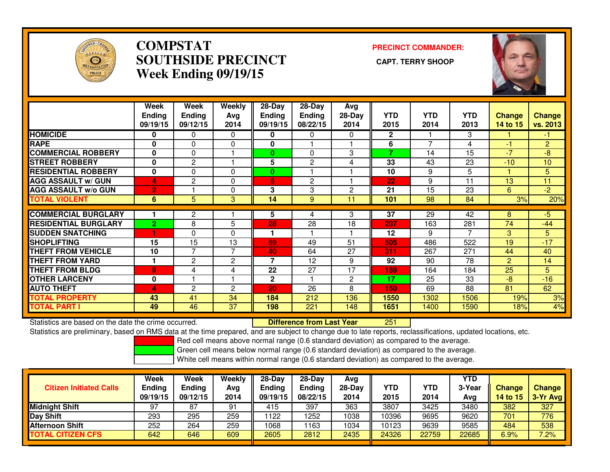

### **COMPSTAT PRECINCT COMMANDER: SOUTHSIDE PRECINCT CAPT. TERRY SHOOPWeek Ending 09/19/15**



|                             | Week<br><b>Ending</b><br>09/19/15 | <b>Week</b><br><b>Ending</b><br>09/12/15 | Weekly<br>Ava<br>2014 | $28-Day$<br><b>Ending</b><br>09/19/15 | $28 - Day$<br><b>Ending</b><br>08/22/15 | Avg<br>$28-Day$<br>2014 | <b>YTD</b><br>2015 | <b>YTD</b><br>2014 | <b>YTD</b><br>2013 | <b>Change</b><br><b>14 to 15</b> | <b>Change</b><br>vs. 2013 |
|-----------------------------|-----------------------------------|------------------------------------------|-----------------------|---------------------------------------|-----------------------------------------|-------------------------|--------------------|--------------------|--------------------|----------------------------------|---------------------------|
| <b>HOMICIDE</b>             | 0                                 | 0                                        | 0                     | 0                                     | 0                                       | 0                       | 2                  |                    | 3                  |                                  | -1                        |
| <b>RAPE</b>                 | $\bf{0}$                          | $\Omega$                                 | $\Omega$              | 0                                     |                                         |                         | 6                  | 7                  | 4                  | $-1$                             | $\overline{2}$            |
| <b>COMMERCIAL ROBBERY</b>   | $\bf{0}$                          | $\Omega$                                 |                       | $\mathbf{0}$                          | $\Omega$                                | 3                       | 7                  | 14                 | 15                 | $-7$                             | $-8$                      |
| <b>STREET ROBBERY</b>       | $\bf{0}$                          | $\overline{c}$                           |                       | 5                                     | 2                                       | 4                       | 33                 | 43                 | 23                 | $-10$                            | 10                        |
| <b>RESIDENTIAL ROBBERY</b>  | $\bf{0}$                          | $\Omega$                                 | $\Omega$              | $\bf{0}$                              |                                         |                         | 10                 | 9                  | 5                  |                                  | 5                         |
| <b>AGG ASSAULT w/ GUN</b>   | 4                                 | $\mathbf{2}$                             | $\Omega$              | 6                                     | $\overline{2}$                          |                         | 22                 | 9                  | 11                 | 13                               | 11                        |
| <b>AGG ASSAULT w/o GUN</b>  | $\overline{2}$                    |                                          | $\Omega$              | 3                                     | 3                                       | 2                       | 21                 | 15                 | 23                 | 6                                | $-2$                      |
| <b>TOTAL VIOLENT</b>        | 6                                 | 5                                        | 3                     | 14                                    | 9                                       | 11                      | 101                | 98                 | 84                 | 3%                               | 20%                       |
|                             |                                   |                                          |                       |                                       |                                         |                         |                    |                    |                    |                                  |                           |
| <b>COMMERCIAL BURGLARY</b>  |                                   | $\overline{2}$                           |                       | 5                                     | 4                                       | 3                       | 37                 | 29                 | 42                 | 8                                | $-5$                      |
| <b>RESIDENTIAL BURGLARY</b> | $\overline{2}$                    | 8                                        | 5                     | 28                                    | 28                                      | 18                      | 237                | 163                | 281                | 74                               | $-44$                     |
| <b>SUDDEN SNATCHING</b>     | 4                                 | $\Omega$                                 | $\Omega$              |                                       |                                         |                         | 12                 | 9                  | 7                  | 3                                | 5                         |
| <b>SHOPLIFTING</b>          | 15                                | 15                                       | 13                    | 59                                    | 49                                      | 51                      | 505                | 486                | 522                | 19                               | $-17$                     |
| <b>THEFT FROM VEHICLE</b>   | 10                                | $\overline{7}$                           | $\overline{7}$        | 40                                    | 64                                      | 27                      | 311                | 267                | 271                | 44                               | 40                        |
| <b>THEFT FROM YARD</b>      | и                                 | $\overline{2}$                           | $\mathbf{2}$          | $\overline{\mathbf{z}}$               | 12                                      | 9                       | 92                 | 90                 | 78                 | $\overline{2}$                   | 14                        |
| <b>THEFT FROM BLDG</b>      | 9                                 | 4                                        | 4                     | 22                                    | 27                                      | 17                      | 189                | 164                | 184                | 25                               | 5                         |
| <b>OTHER LARCENY</b>        | $\bf{0}$                          |                                          |                       | $\mathbf{2}$                          |                                         | 2                       | 17                 | 25                 | 33                 | $-8$                             | $-16$                     |
| <b>AUTO THEFT</b>           | 4                                 | $\overline{2}$                           | $\overline{2}$        | 20                                    | 26                                      | 8                       | 150                | 69                 | 88                 | 81                               | 62                        |
| <b>TOTAL PROPERTY</b>       | 43                                | 41                                       | 34                    | 184                                   | 212                                     | 136                     | 1550               | 1302               | 1506               | 19%                              | 3%                        |
| <b>TOTAL PART I</b>         | 49                                | 46                                       | 37                    | 198                                   | 221                                     | 148                     | 1651               | 1400               | 1590               | 18%                              | 4%                        |

Statistics are based on the date the crime occurred. **Difference from Last Year** 

Statistics are preliminary, based on RMS data at the time prepared, and are subject to change due to late reports, reclassifications, updated locations, etc.

<sup>251</sup>

Red cell means above normal range (0.6 standard deviation) as compared to the average.

Green cell means below normal range (0.6 standard deviation) as compared to the average.

| <b>Citizen Initiated Calls</b> | Week<br><b>Ending</b><br>09/19/15 | <b>Week</b><br>Ending<br>09/12/15 | Weekly<br>Avg<br>2014 | $28-Day$<br>Ending<br>09/19/15 | $28-Dav$<br><b>Ending</b><br>08/22/15 | Ava<br>$28-Day$<br>2014 | YTD<br>2015 | YTD<br>2014 | YTD<br>3-Year<br>Avg | <b>Change</b><br>14 to 15 | <b>Change</b><br>3-Yr Avg |
|--------------------------------|-----------------------------------|-----------------------------------|-----------------------|--------------------------------|---------------------------------------|-------------------------|-------------|-------------|----------------------|---------------------------|---------------------------|
| <b>Midnight Shift</b>          | 97                                | 87                                | 91                    | 415                            | 397                                   | 363                     | 3807        | 3425        | 3480                 | 382                       | 327                       |
| Day Shift                      | 293                               | 295                               | 259                   | 1122                           | 1252                                  | 1038                    | 10396       | 9695        | 9620                 | 701                       | 776                       |
| <b>Afternoon Shift</b>         | 252                               | 264                               | 259                   | 1068                           | 163                                   | 1034                    | 10123       | 9639        | 9585                 | 484                       | 538                       |
| <b>TOTAL CITIZEN CFS</b>       | 642                               | 646                               | 609                   | 2605                           | 2812                                  | 2435                    | 24326       | 22759       | 22685                | 6.9%                      | 7.2%                      |